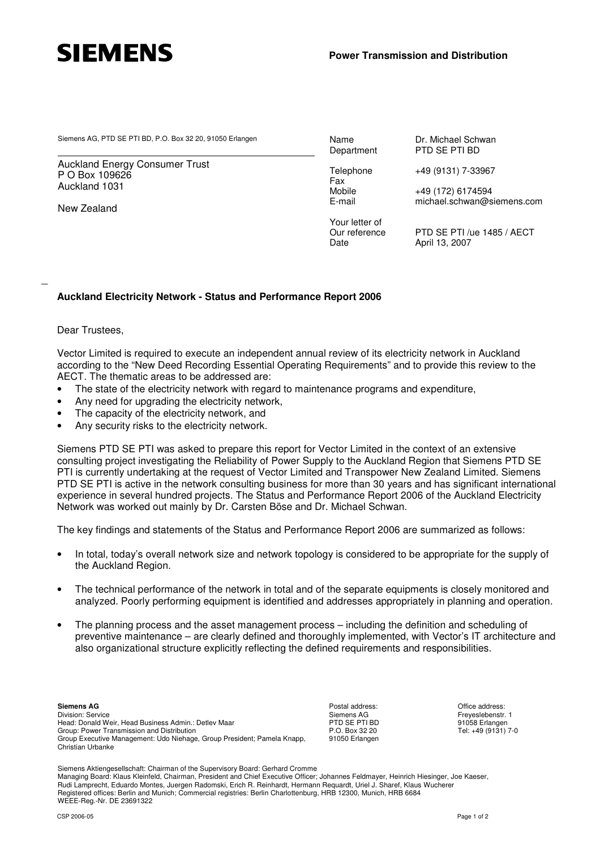

Siemens AG, PTD SE PTI BD, P.O. Box 32 20, 91050 Erlangen<br>Department Dr Dr PTD SE PTI BD

Auckland Energy Consumer Trust P O Box 109626 Auckland 1031

New Zealand

Fax<br>Mobile

Your letter of

PTD SE PTI BD

Telephone +49 (9131) 7-33967

Mobile +49 (172) 6174594<br>E-mail michael.schwan@s michael.schwan@siemens.com

Our reference PTD SE PTI /ue 1485 / AECT Date **April 13, 2007** 

## **Auckland Electricity Network - Status and Performance Report 2006**

## Dear Trustees,

\_

Vector Limited is required to execute an independent annual review of its electricity network in Auckland according to the "New Deed Recording Essential Operating Requirements" and to provide this review to the AECT. The thematic areas to be addressed are:

- The state of the electricity network with regard to maintenance programs and expenditure,
- Any need for upgrading the electricity network,
- The capacity of the electricity network, and
- Any security risks to the electricity network.

Siemens PTD SE PTI was asked to prepare this report for Vector Limited in the context of an extensive consulting project investigating the Reliability of Power Supply to the Auckland Region that Siemens PTD SE PTI is currently undertaking at the request of Vector Limited and Transpower New Zealand Limited. Siemens PTD SE PTI is active in the network consulting business for more than 30 years and has significant international experience in several hundred projects. The Status and Performance Report 2006 of the Auckland Electricity Network was worked out mainly by Dr. Carsten Böse and Dr. Michael Schwan.

The key findings and statements of the Status and Performance Report 2006 are summarized as follows:

- In total, today's overall network size and network topology is considered to be appropriate for the supply of the Auckland Region.
- The technical performance of the network in total and of the separate equipments is closely monitored and analyzed. Poorly performing equipment is identified and addresses appropriately in planning and operation.
- The planning process and the asset management process including the definition and scheduling of preventive maintenance – are clearly defined and thoroughly implemented, with Vector's IT architecture and also organizational structure explicitly reflecting the defined requirements and responsibilities.

Postal address: Siemens AG PTD SE PTI BD P.O. Box 32 20 91050 Erlangen

Office address: Freyeslebenstr. 1 91058 Erlangen Tel: +49 (9131) 7-0

Siemens Aktiengesellschaft: Chairman of the Supervisory Board: Gerhard Cromme Managing Board: Klaus Kleinfeld, Chairman, President and Chief Executive Officer; Johannes Feldmayer, Heinrich Hiesinger, Joe Kaeser,

Rudi Lamprecht, Eduardo Montes, Juergen Radomski, Erich R. Reinhardt, Hermann Requardt, Uriel J. Sharef, Klaus Wucherer Registered offices: Berlin and Munich; Commercial registries: Berlin Charlottenburg, HRB 12300, Munich, HRB 6684 WEEE-Reg.-Nr. DE 23691322